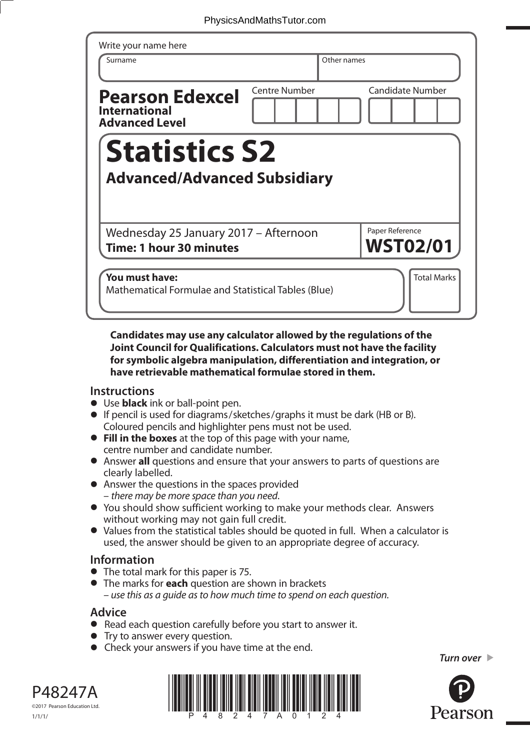| Write your name here<br>Surname                                         |                      | Other names |                         |
|-------------------------------------------------------------------------|----------------------|-------------|-------------------------|
| <b>Pearson Edexcel</b><br><b>International</b><br><b>Advanced Level</b> | <b>Centre Number</b> |             | <b>Candidate Number</b> |
|                                                                         |                      |             |                         |
| <b>Statistics S2</b>                                                    |                      |             |                         |
| <b>Advanced/Advanced Subsidiary</b>                                     |                      |             | Paper Reference         |
| Wednesday 25 January 2017 - Afternoon<br>Time: 1 hour 30 minutes        |                      |             | <b>WST02/01</b>         |

## **Candidates may use any calculator allowed by the regulations of the Joint Council for Qualifications. Calculators must not have the facility for symbolic algebra manipulation, differentiation and integration, or have retrievable mathematical formulae stored in them.**

## **Instructions**

- **•** Use **black** ink or ball-point pen.
- **•** If pencil is used for diagrams/sketches/graphs it must be dark (HB or B). Coloured pencils and highlighter pens must not be used. **• Fill in the boxes** at the top of this page with your name,
- centre number and candidate number.
- **•** Answer **all** questions and ensure that your answers to parts of questions are clearly labelled.
- **•** Answer the questions in the spaces provided – there may be more space than you need.
- **•** You should show sufficient working to make your methods clear. Answers without working may not gain full credit.
- **•** Values from the statistical tables should be quoted in full. When a calculator is used, the answer should be given to an appropriate degree of accuracy.

## **Information**

- **•** The total mark for this paper is 75.
- **•** The marks for **each** question are shown in brackets – use this as a guide as to how much time to spend on each question.

## **Advice**

- **Advice**<br>● Read each question carefully before you start to answer it.
- Read each question carefully<br>• Try to answer every question.
- Try to answer every question.<br>• Check your answers if you have time at the end.

*Turn over* 





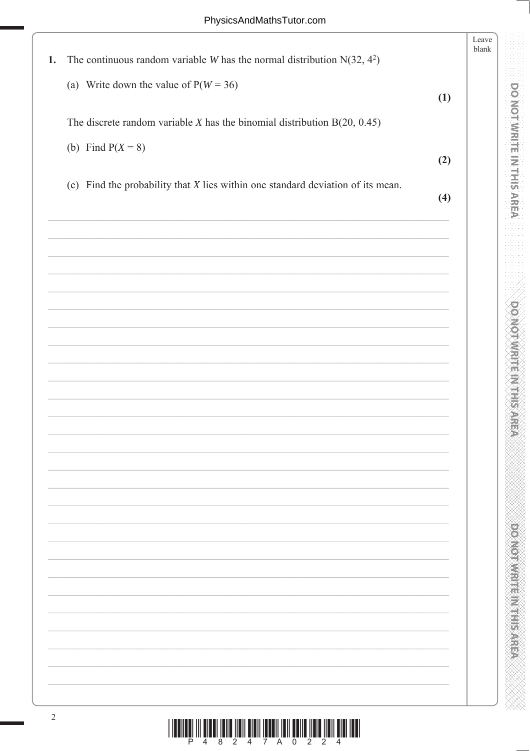**DO NOT WRITE IN THIS AREA** 

**DOMOTIVE IN EARLY STATE** 

|    |                                                                                   |     | Leave<br>blank |
|----|-----------------------------------------------------------------------------------|-----|----------------|
| 1. | The continuous random variable <i>W</i> has the normal distribution $N(32, 4^2)$  |     |                |
|    | (a) Write down the value of $P(W = 36)$                                           |     |                |
|    |                                                                                   | (1) |                |
|    | The discrete random variable $X$ has the binomial distribution $B(20, 0.45)$      |     |                |
|    | (b) Find $P(X = 8)$                                                               |     |                |
|    |                                                                                   | (2) |                |
|    | (c) Find the probability that $X$ lies within one standard deviation of its mean. | (4) |                |
|    |                                                                                   |     |                |
|    |                                                                                   |     |                |
|    |                                                                                   |     |                |
|    |                                                                                   |     |                |
|    |                                                                                   |     |                |
|    |                                                                                   |     |                |
|    |                                                                                   |     |                |
|    |                                                                                   |     |                |
|    |                                                                                   |     |                |
|    |                                                                                   |     |                |
|    |                                                                                   |     |                |
|    |                                                                                   |     |                |
|    |                                                                                   |     |                |
|    |                                                                                   |     |                |
|    |                                                                                   |     |                |
|    |                                                                                   |     |                |
|    |                                                                                   |     |                |
|    |                                                                                   |     |                |
|    |                                                                                   |     |                |
|    |                                                                                   |     |                |
|    |                                                                                   |     |                |
|    |                                                                                   |     |                |
|    |                                                                                   |     |                |
|    |                                                                                   |     |                |
|    |                                                                                   |     |                |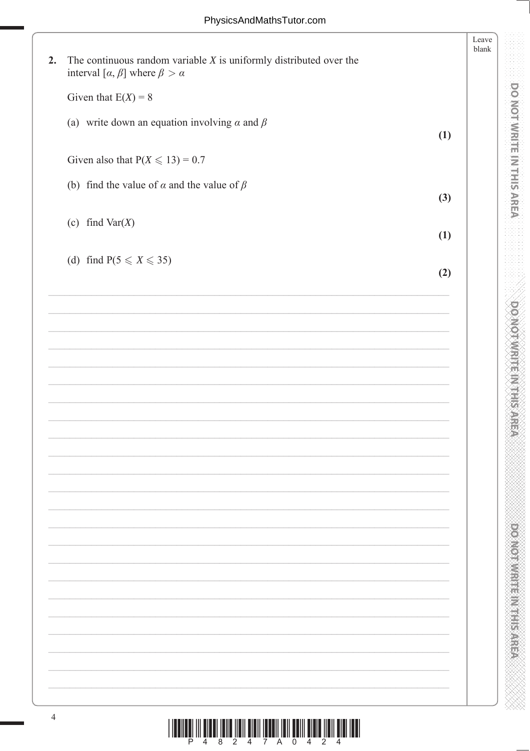**DOMOTIVIRIE INTERNER** 

**PONOTOMETH METHODS** 

|    |                                                                                                                                | Leave<br>blank |
|----|--------------------------------------------------------------------------------------------------------------------------------|----------------|
| 2. | The continuous random variable $X$ is uniformly distributed over the<br>interval [ $\alpha$ , $\beta$ ] where $\beta > \alpha$ |                |
|    | Given that $E(X) = 8$                                                                                                          |                |
|    | (a) write down an equation involving $\alpha$ and $\beta$<br>(1)                                                               |                |
|    | Given also that $P(X \le 13) = 0.7$                                                                                            |                |
|    | (b) find the value of $\alpha$ and the value of $\beta$<br>(3)                                                                 |                |
|    | (c) find $Var(X)$<br>(1)                                                                                                       |                |
|    | (d) find $P(5 \leq X \leq 35)$<br>(2)                                                                                          |                |
|    |                                                                                                                                |                |
|    |                                                                                                                                |                |
|    |                                                                                                                                |                |
|    |                                                                                                                                |                |
|    |                                                                                                                                |                |
|    |                                                                                                                                |                |
|    |                                                                                                                                |                |
|    |                                                                                                                                |                |
|    |                                                                                                                                |                |
|    |                                                                                                                                |                |
|    |                                                                                                                                |                |
|    |                                                                                                                                |                |
|    |                                                                                                                                |                |
|    |                                                                                                                                |                |
|    |                                                                                                                                |                |
|    |                                                                                                                                |                |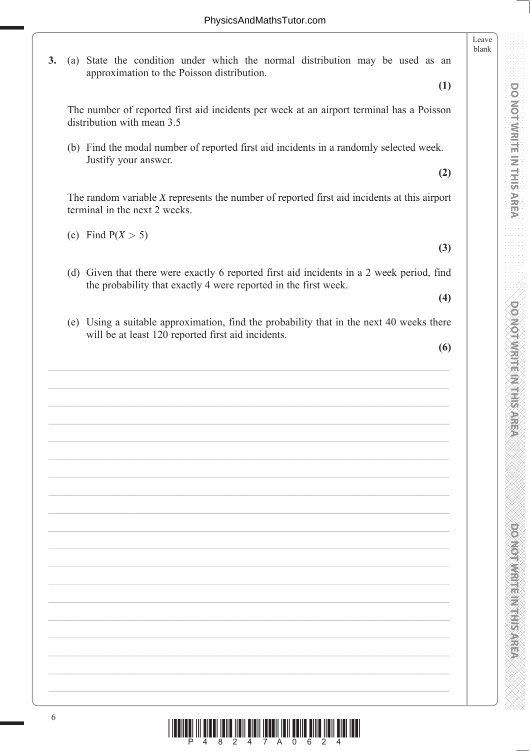**3.** (a) State the condition under which the normal distribution may be used as an approximation to the Poisson distribution.

**(1)**

Leave blank

The number of reported first aid incidents per week at an airport terminal has a Poisson distribution with mean 3.5

 (b) Find the modal number of reported first aid incidents in a randomly selected week. Justify your answer.

**(2)**

 The random variable *X* represents the number of reported first aid incidents at this airport terminal in the next 2 weeks.

(c) Find  $P(X > 5)$ 

**(3)**

(d) Given that there were exactly 6 reported first aid incidents in a 2 week period, find the probability that exactly 4 were reported in the first week.

**(4)**

 (e) Using a suitable approximation, find the probability that in the next 40 weeks there will be at least 120 reported first aid incidents.

**(6)**

**PONOT WRITE IN THIS AREA DO NOT WRITE IN THIS AREA DO NOT WRITE IN THIS AREA DO NOT WRITE IN THIS AREA DO NOT W** 

DOMOTWRITE IN THIS AREA

**PONORA DE L'ANGELIA DE L'ANGELIA** 

DONOL WHILE IN THIS AREA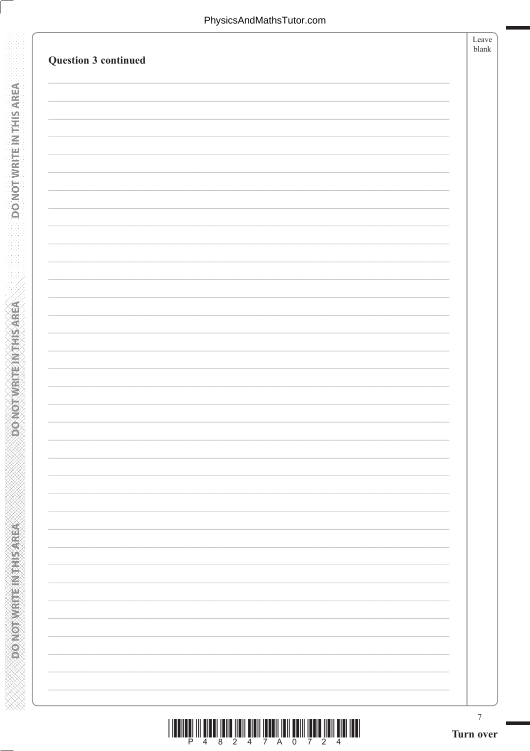**DO NOTWRITEINTHIS AREA** 

**DONOTWEREINTHISAREA** 

| Question 3 continued | Leave<br>blank |
|----------------------|----------------|
|                      |                |
|                      |                |
|                      |                |
|                      |                |
|                      |                |
|                      |                |
|                      |                |
|                      |                |
|                      |                |
|                      |                |
|                      |                |
|                      |                |
|                      |                |
|                      |                |
|                      |                |
|                      |                |
|                      |                |
|                      |                |
|                      |                |
|                      |                |
|                      |                |
|                      |                |

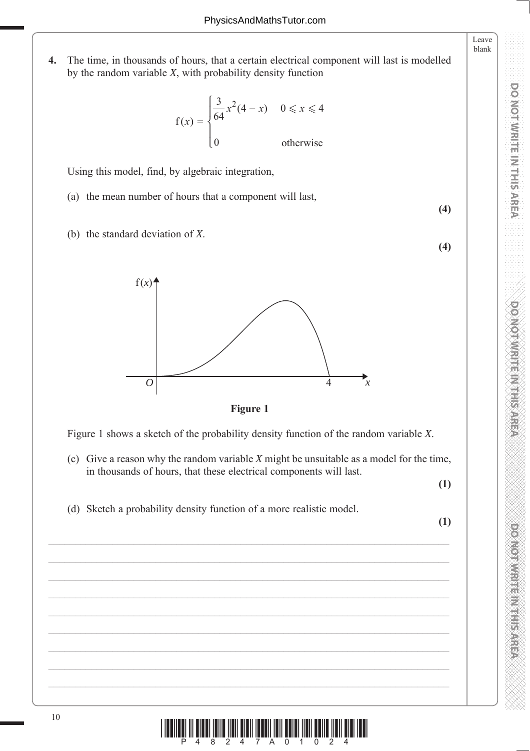**4.** The time, in thousands of hours, that a certain electrical component will last is modelled by the random variable *X*, with probability density function

$$
f(x) = \begin{cases} \frac{3}{64}x^2(4-x) & 0 \le x \le 4\\ 0 & \text{otherwise} \end{cases}
$$

Using this model, find, by algebraic integration,

- (a) the mean number of hours that a component will last,
- (b) the standard deviation of *X*.



**Figure 1**

Figure 1 shows a sketch of the probability density function of the random variable *X*.

(c) Give a reason why the random variable *X* might be unsuitable as a model for the time, in thousands of hours, that these electrical components will last.

**(1)**

**(4)**

**(4)**

Leave blank

**DO NOT WRITE IN THIS AREA** 

(d) Sketch a probability density function of a more realistic model.

**(1)**

**PONOT WRITE IN THIS AREA DO NOT WRITE IN THIS AREA DO NOT WRITE IN THIS AREA DO NOT WRITE IN THIS AREA DO NOT W DOMOTOWRITE MELTINGS** 

**DO NOT WRITE IN THIS AREA** 

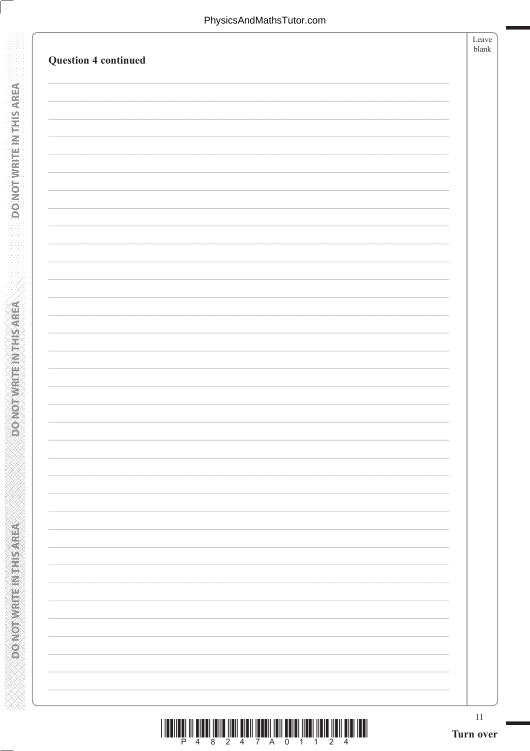**DONOTWRITEINTHISMREA** 

**CONOTWRITEINTHIS AREA** 

| <b>Question 4 continued</b> | Leave<br>blank |
|-----------------------------|----------------|
|                             |                |
|                             |                |
|                             |                |
|                             |                |
|                             |                |
|                             |                |
|                             |                |
|                             |                |
|                             |                |
|                             |                |
|                             |                |
|                             |                |
|                             |                |
|                             |                |
|                             |                |
|                             |                |
|                             |                |
|                             |                |
|                             |                |
|                             |                |
|                             |                |
|                             |                |
|                             |                |

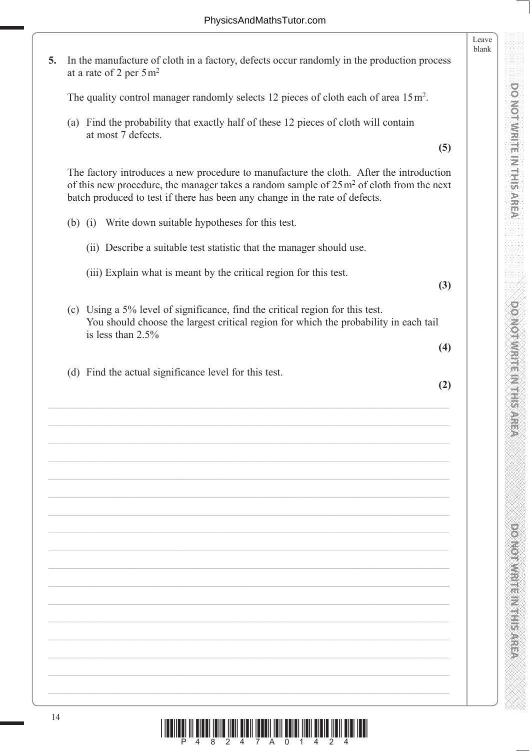Leave blank **5.** In the manufacture of cloth in a factory, defects occur randomly in the production process at a rate of 2 per  $5 \text{ m}^2$ The quality control manager randomly selects 12 pieces of cloth each of area  $15 \text{ m}^2$ . (a) Find the probability that exactly half of these 12 pieces of cloth will contain at most 7 defects. **(5)** The factory introduces a new procedure to manufacture the cloth. After the introduction of this new procedure, the manager takes a random sample of  $25 \text{ m}^2$  of cloth from the next batch produced to test if there has been any change in the rate of defects. (b) (i) Write down suitable hypotheses for this test. (ii) Describe a suitable test statistic that the manager should use. (iii) Explain what is meant by the critical region for this test. **(3)** (c) Using a 5% level of significance, find the critical region for this test. You should choose the largest critical region for which the probability in each tail is less than 2.5% **(4)** (d) Find the actual significance level for this test. **(2)**

**PONOT WRITE IN THIS AREA DO NOT WRITE IN THIS AREA DO NOT WRITE IN THIS AREA DO NOT WRITE IN THIS AREA DO NOT W** 

**DO MOTWRITE IN THIS AREA** 

**PONORA DE L'ANGELIA DE L'ANGELIA** 

**DOI MOT WREIN THIS AREA** 

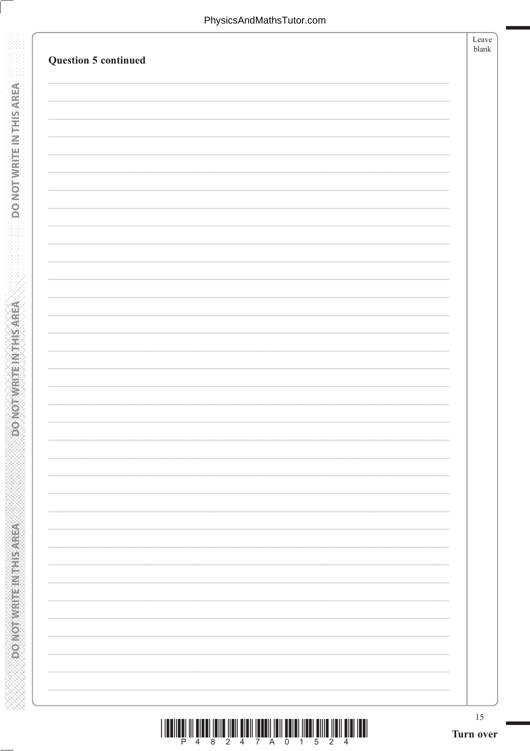**DONOTWRITEIN THIS AREA** 

**CONOTWRITEINTHIS AREA** 

| <b>Question 5 continued</b> |                                                                                                                | Leave<br>blank |
|-----------------------------|----------------------------------------------------------------------------------------------------------------|----------------|
|                             |                                                                                                                |                |
|                             |                                                                                                                |                |
|                             |                                                                                                                |                |
|                             |                                                                                                                |                |
|                             |                                                                                                                |                |
|                             |                                                                                                                |                |
|                             |                                                                                                                |                |
|                             |                                                                                                                |                |
|                             |                                                                                                                |                |
|                             |                                                                                                                |                |
|                             |                                                                                                                |                |
|                             |                                                                                                                |                |
|                             |                                                                                                                |                |
|                             |                                                                                                                |                |
|                             |                                                                                                                |                |
|                             |                                                                                                                |                |
|                             |                                                                                                                |                |
|                             |                                                                                                                |                |
|                             |                                                                                                                |                |
|                             |                                                                                                                |                |
|                             |                                                                                                                |                |
|                             |                                                                                                                |                |
|                             |                                                                                                                |                |
|                             |                                                                                                                |                |
|                             |                                                                                                                |                |
|                             |                                                                                                                |                |
|                             | . The material continuous control there in the control continuous control international control of the control | 15             |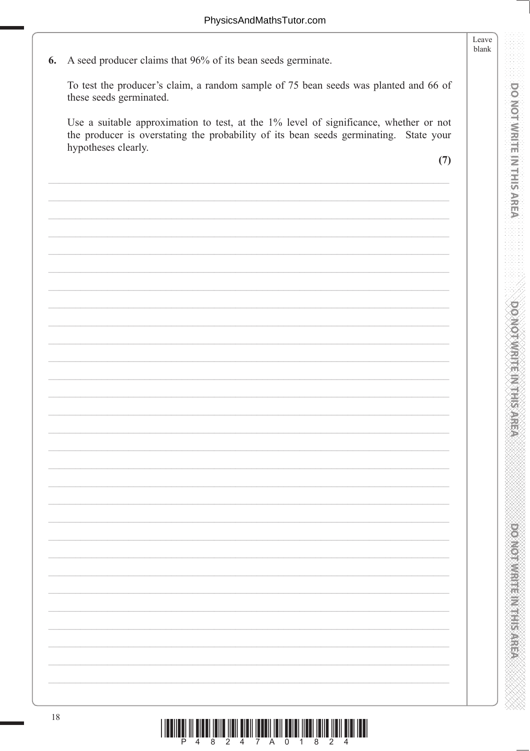A seed producer claims that 96% of its bean seeds germinate. 6. To test the producer's claim, a random sample of 75 bean seeds was planted and 66 of these seeds germinated. Use a suitable approximation to test, at the 1% level of significance, whether or not the producer is overstating the probability of its bean seeds germinating. State your hypotheses clearly.  $(7)$ 

DO NOT WRITE IN THIS AREA

Leave blank

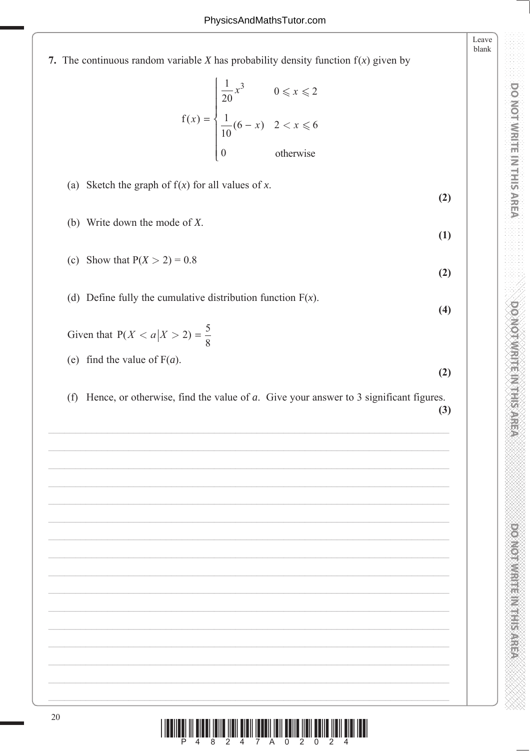7. The continuous random variable  $X$  has probability density function  $f(x)$  given by

$$
f(x) = \begin{cases} \frac{1}{20}x^3 & 0 \le x \le 2\\ \frac{1}{10}(6-x) & 2 < x \le 6\\ 0 & \text{otherwise} \end{cases}
$$

(a) Sketch the graph of  $f(x)$  for all values of x.

- (b) Write down the mode of  $X$ .
- (c) Show that  $P(X > 2) = 0.8$  $(2)$
- (d) Define fully the cumulative distribution function  $F(x)$ .  $(4)$

Given that  $P(X < a | X > 2) = \frac{5}{8}$ 

- (e) find the value of  $F(a)$ .
- (f) Hence, or otherwise, find the value of  $a$ . Give your answer to 3 significant figures.

 $(3)$ 

 $(2)$ 

 $(2)$ 

 $(1)$ 

Leave blank

**DO NOT WRITE IN THIS AREA** 

**DOMOI WRITEIN THIS AREA** 

**PONONNER MERICANES** 

 $\lim_{\leftarrow\hspace{-.25cm}u\hspace{-.25cm}u\hspace{-.25cm}u\hspace{-.25cm}u\hspace{-.25cm}u\hspace{-.25cm}u\hspace{-.25cm}u\hspace{-.25cm}u\hspace{-.25cm}u\hspace{-.25cm}u\hspace{-.25cm}u\hspace{-.25cm}u\hspace{-.25cm}u\hspace{-.25cm}u\hspace{-.25cm}u\hspace{-.25cm}u\hspace{-.25cm}u\hspace{-.25cm}u\hspace{-.25cm}u\hspace{-.25cm}u\hspace{-.25cm}u\hspace{$